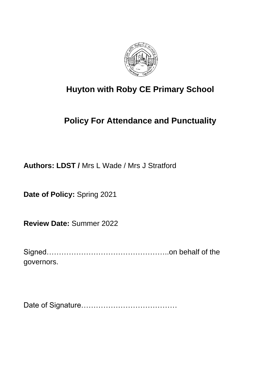

# **Huyton with Roby CE Primary School**

# **Policy For Attendance and Punctuality**

**Authors: LDST /** Mrs L Wade / Mrs J Stratford

**Date of Policy:** Spring 2021

**Review Date:** Summer 2022

Signed…………………………………………..on behalf of the governors.

Date of Signature…………………………………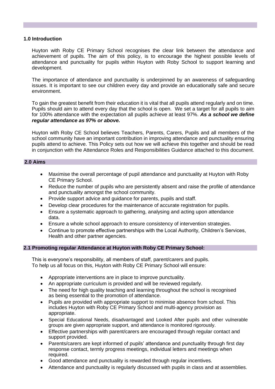#### **1.0 Introduction**

Huyton with Roby CE Primary School recognises the clear link between the attendance and achievement of pupils. The aim of this policy, is to encourage the highest possible levels of attendance and punctuality for pupils within Huyton with Roby School to support learning and development.

The importance of attendance and punctuality is underpinned by an awareness of safeguarding issues. It is important to see our children every day and provide an educationally safe and secure environment.

To gain the greatest benefit from their education it is vital that all pupils attend regularly and on time. Pupils should aim to attend every day that the school is open. We set a target for all pupils to aim for 100% attendance with the expectation all pupils achieve at least 97%. *As a school we define regular attendance as 97% or above.* 

Huyton with Roby CE School believes Teachers, Parents, Carers, Pupils and all members of the school community have an important contribution in improving attendance and punctuality ensuring pupils attend to achieve. This Policy sets out how we will achieve this together and should be read in conjunction with the Attendance Roles and Responsibilities Guidance attached to this document.

#### **2.0 Aims**

- Maximise the overall percentage of pupil attendance and punctuality at Huyton with Roby CE Primary School.
- Reduce the number of pupils who are persistently absent and raise the profile of attendance and punctuality amongst the school community.
- Provide support advice and guidance for parents, pupils and staff.
- Develop clear procedures for the maintenance of accurate registration for pupils.
- Ensure a systematic approach to gathering, analysing and acting upon attendance data.
- Ensure a whole school approach to ensure consistency of intervention strategies.
- Continue to promote effective partnerships with the Local Authority, Children's Services, Health and other partner agencies.

#### **2.1 Promoting regular Attendance at Huyton with Roby CE Primary School:**

This is everyone's responsibility, all members of staff, parent/carers and pupils. To help us all focus on this, Huyton with Roby CE Primary School will ensure:

- Appropriate interventions are in place to improve punctuality.
- An appropriate curriculum is provided and will be reviewed regularly.
- The need for high quality teaching and learning throughout the school is recognised as being essential to the promotion of attendance.
- Pupils are provided with appropriate support to minimise absence from school. This includes Huyton with Roby CE Primary School and multi-agency provision as appropriate.
- Special Educational Needs, disadvantaged and Looked After pupils and other vulnerable groups are given appropriate support, and attendance is monitored rigorously.
- Effective partnerships with parent/carers are encouraged through regular contact and support provided.
- Parents/carers are kept informed of pupils' attendance and punctuality through first day response contact, termly progress meetings, individual letters and meetings when required.
- Good attendance and punctuality is rewarded through regular incentives.
- Attendance and punctuality is regularly discussed with pupils in class and at assemblies.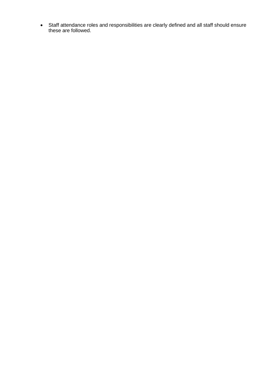• Staff attendance roles and responsibilities are clearly defined and all staff should ensure these are followed.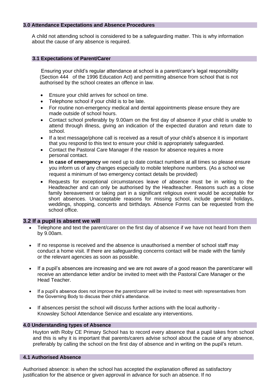#### **3.0 Attendance Expectations and Absence Procedures**

A child not attending school is considered to be a safeguarding matter. This is why information about the cause of any absence is required.

### **3.1 Expectations of Parent/Carer**

Ensuring your child's regular attendance at school is a parent/carer's legal responsibility (Section 444 of the 1996 Education Act) and permitting absence from school that is not authorised by the school creates an offence in law.

- Ensure your child arrives for school on time.
- Telephone school if your child is to be late.
- For routine non-emergency medical and dental appointments please ensure they are made outside of school hours.
- Contact school preferably by 9.00am on the first day of absence if your child is unable to attend through illness, giving an indication of the expected duration and return date to school.
- If a text message/phone call is received as a result of your child's absence it is important that you respond to this text to ensure your child is appropriately safeguarded.
- Contact the Pastoral Care Manager if the reason for absence requires a more personal contact.
- **In case of emergency** we need up to date contact numbers at all times so please ensure you inform us of any changes especially to mobile telephone numbers. (As a school we request a minimum of two emergency contact details be provided)
- Requests for exceptional circumstances leave of absence must be in writing to the Headteacher and can only be authorised by the Headteacher. Reasons such as a close family bereavement or taking part in a significant religious event would be acceptable for short absences. Unacceptable reasons for missing school, include general holidays, weddings, shopping, concerts and birthdays. Absence Forms can be requested from the school office.

# **3.2 If a pupil is absent we will**

- Telephone and text the parent/carer on the first day of absence if we have not heard from them by 9.00am.
- If no response is received and the absence is unauthorised a member of school staff may conduct a home visit. If there are safeguarding concerns contact will be made with the family or the relevant agencies as soon as possible.
- If a pupil's absences are increasing and we are not aware of a good reason the parent/carer will receive an attendance letter and/or be invited to meet with the Pastoral Care Manager or the Head Teacher.
- If a pupil's absence does not improve the parent/carer will be invited to meet with representatives from the Governing Body to discuss their child's attendance.
- If absences persist the school will discuss further actions with the local authority Knowsley School Attendance Service and escalate any interventions.

#### **4.0 Understanding types of Absence**

Huyton with Roby CE Primary School has to record every absence that a pupil takes from school and this is why it is important that parents/carers advise school about the cause of any absence, preferably by calling the school on the first day of absence and in writing on the pupil's return.

### **4.1 Authorised Absence**

Authorised absence: is when the school has accepted the explanation offered as satisfactory justification for the absence or given approval in advance for such an absence. If no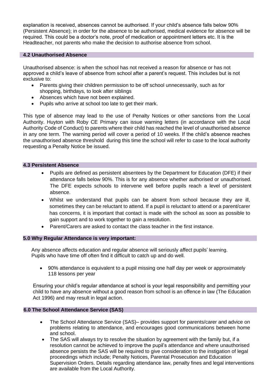explanation is received, absences cannot be authorised. If your child's absence falls below 90% (Persistent Absence); in order for the absence to be authorised, medical evidence for absence will be required. This could be a doctor's note, proof of medication or appointment letters etc. It is the Headteacher, not parents who make the decision to authorise absence from school.

### **4.2 Unauthorised Absence**

Unauthorised absence: is when the school has not received a reason for absence or has not approved a child's leave of absence from school after a parent's request. This includes but is not exclusive to:

- Parents giving their children permission to be off school unnecessarily, such as for shopping, birthdays, to look after siblings
- Absences which have not been explained.
- Pupils who arrive at school too late to get their mark.

This type of absence may lead to the use of Penalty Notices or other sanctions from the Local Authority. Huyton with Roby CE Primary can issue warning letters (in accordance with the Local Authority Code of Conduct) to parents where their child has reached the level of unauthorised absence in any one term. The warning period will cover a period of 10 weeks. If the child's absence reaches the unauthorised absence threshold during this time the school will refer to case to the local authority requesting a Penalty Notice be issued.

# **4.3 Persistent Absence**

- Pupils are defined as persistent absentees by the Department for Education (DFE) if their attendance falls below 90%. This is for any absence whether authorised or unauthorised. The DFE expects schools to intervene well before pupils reach a level of persistent absence.
- Whilst we understand that pupils can be absent from school because they are ill, sometimes they can be reluctant to attend. If a pupil is reluctant to attend or a parent/carer has concerns, it is important that contact is made with the school as soon as possible to gain support and to work together to gain a resolution.
- Parent/Carers are asked to contact the class teacher in the first instance.

# **5.0 Why Regular Attendance is very important:**

Any absence affects education and regular absence will seriously affect pupils' learning. Pupils who have time off often find it difficult to catch up and do well.

• 90% attendance is equivalent to a pupil missing one half day per week or approximately 118 lessons per year

Ensuring your child's regular attendance at school is your legal responsibility and permitting your child to have any absence without a good reason from school is an offence in law (The Education Act 1996) and may result in legal action.

# **6.0 The School Attendance Service (SAS)**

- The School Attendance Service (SAS)– provides support for parents/carer and advice on problems relating to attendance, and encourages good communications between home and school.
- The SAS will always try to resolve the situation by agreement with the family but, if a resolution cannot be achieved to improve the pupil's attendance and where unauthorised absence persists the SAS will be required to give consideration to the instigation of legal proceedings which include; Penalty Notices, Parental Prosecution and Education Supervision Orders. Details regarding attendance law, penalty fines and legal interventions are available from the Local Authority.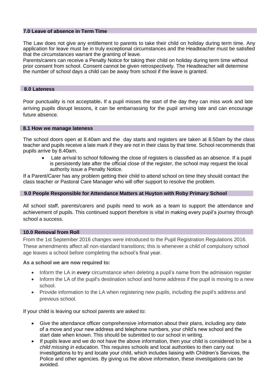#### **7.0 Leave of absence in Term Time**

The Law does not give any entitlement to parents to take their child on holiday during term time. Any application for leave must be in truly exceptional circumstances and the Headteacher must be satisfied that the circumstances warrant the granting of leave.

Parents/carers can receive a Penalty Notice for taking their child on holiday during term time without prior consent from school. Consent cannot be given retrospectively. The Headteacher will determine the number of school days a child can be away from school if the leave is granted.

### **8.0 Lateness**

Poor punctuality is not acceptable**.** If a pupil misses the start of the day they can miss work and late arriving pupils disrupt lessons, it can be embarrassing for the pupil arriving late and can encourage future absence.

#### **8.1 How we manage lateness**

The school doors open at 8.40am and the day starts and registers are taken at 8.50am by the class teacher and pupils receive a late mark if they are not in their class by that time. School recommends that pupils arrive by 8.40am.

Late arrival to school following the close of registers is classified as an absence. If a pupil is persistently late after the official close of the register, the school may request the local authority issue a Penalty Notice.

If a Parent/Carer has any problem getting their child to attend school on time they should contact the class teacher or Pastoral Care Manager who will offer support to resolve the problem.

#### **9.0 People Responsible for Attendance Matters at Huyton with Roby Primary School**

All school staff, parents/carers and pupils need to work as a team to support the attendance and achievement of pupils. This continued support therefore is vital in making every pupil's journey through school a success.

#### **10.0 Removal from Roll**

From the 1st September 2016 changes were introduced to the Pupil Registration Regulations 2016. These amendments affect all non-standard transitions; this is whenever a child of compulsory school age leaves a school before completing the school's final year.

#### **As a school we are now required to:**

- Inform the LA in *every* circumstance when deleting a pupil's name from the admission register
- Inform the LA of the pupil's destination school and home address if the pupil is moving to a new school.
- Provide information to the LA when registering new pupils, including the pupil's address and previous school.

If your child is leaving our school parents are asked to:

- Give the attendance officer comprehensive information about their plans, including any date of a move and your new address and telephone numbers, your child's new school and the start date when known. This should be submitted to our school in writing.
- If pupils leave and we do not have the above information, then your child is considered to be a *child missing in education*. This requires schools and local authorities to then carry out investigations to try and locate your child, which includes liaising with Children's Services, the Police and other agencies. By giving us the above information, these investigations can be avoided.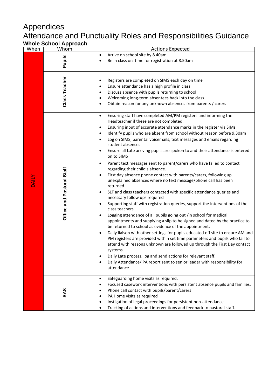# Appendices Attendance and Punctuality Roles and Responsibilities Guidance **Whole School Approach**

| <u>nu ounou approaun</u><br>Whom<br>When |                           | <b>Actions Expected</b>                                                                                                                                                                                                                                 |
|------------------------------------------|---------------------------|---------------------------------------------------------------------------------------------------------------------------------------------------------------------------------------------------------------------------------------------------------|
|                                          |                           | Arrive on school site by 8.40am<br>$\bullet$                                                                                                                                                                                                            |
|                                          | <b>Pupils</b>             | Be in class on time for registration at 8.50am                                                                                                                                                                                                          |
|                                          |                           |                                                                                                                                                                                                                                                         |
|                                          | <b>Class Teacher</b>      | Registers are completed on SIMS each day on time                                                                                                                                                                                                        |
|                                          |                           | Ensure attendance has a high profile in class                                                                                                                                                                                                           |
|                                          |                           | Discuss absence with pupils returning to school<br>٠                                                                                                                                                                                                    |
|                                          |                           | Welcoming long-term absentees back into the class                                                                                                                                                                                                       |
|                                          |                           | Obtain reason for any unknown absences from parents / carers                                                                                                                                                                                            |
|                                          |                           | Ensuring staff have completed AM/PM registers and informing the<br>$\bullet$                                                                                                                                                                            |
|                                          |                           | Headteacher if these are not completed.                                                                                                                                                                                                                 |
|                                          |                           | Ensuring input of accurate attendance marks in the register via SIMs                                                                                                                                                                                    |
|                                          |                           | Identify pupils who are absent from school without reason before 9.30am                                                                                                                                                                                 |
|                                          |                           | Log on SIMS, parental voicemails, text messages and emails regarding<br>student absences                                                                                                                                                                |
|                                          | Office and Pastoral Staff | Ensure all Late arriving pupils are spoken to and their attendance is entered<br>٠<br>on to SIMS                                                                                                                                                        |
|                                          |                           | Parent text messages sent to parent/carers who have failed to contact<br>regarding their child's absence.                                                                                                                                               |
|                                          |                           | First day absence phone contact with parents/carers, following up<br>unexplained absences where no text message/phone call has been<br>returned.                                                                                                        |
|                                          |                           | SLT and class teachers contacted with specific attendance queries and<br>٠<br>necessary follow ups required                                                                                                                                             |
|                                          |                           | Supporting staff with registration queries, support the interventions of the<br>class teachers.                                                                                                                                                         |
|                                          |                           | Logging attendance of all pupils going out /in school for medical<br>appointments and supplying a slip to be signed and dated by the practice to<br>be returned to school as evidence of the appointment.                                               |
|                                          |                           | Daily liaison with other settings for pupils educated off site to ensure AM and<br>PM registers are provided within set time parameters and pupils who fail to<br>attend with reasons unknown are followed up through the First Day contact<br>systems. |
|                                          |                           | Daily Late process, log and send actions for relevant staff.                                                                                                                                                                                            |
|                                          |                           | Daily Attendance/ PA report sent to senior leader with responsibility for                                                                                                                                                                               |
|                                          |                           | attendance.                                                                                                                                                                                                                                             |
|                                          |                           | Safeguarding home visits as required.                                                                                                                                                                                                                   |
|                                          | SAS                       | Focused casework interventions with persistent absence pupils and families.                                                                                                                                                                             |
|                                          |                           | Phone call contact with pupils/parent/carers                                                                                                                                                                                                            |
|                                          |                           | PA Home visits as required                                                                                                                                                                                                                              |
|                                          |                           | Instigation of legal proceedings for persistent non-attendance                                                                                                                                                                                          |
|                                          |                           | Tracking of actions and interventions and feedback to pastoral staff.                                                                                                                                                                                   |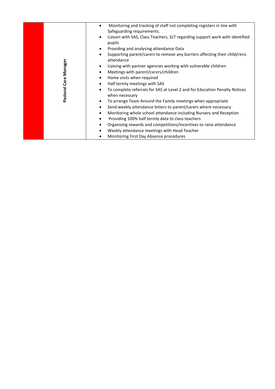|                       | Monitoring and tracking of staff not completing registers in line with<br>Safeguarding requirements.  |
|-----------------------|-------------------------------------------------------------------------------------------------------|
|                       | Liaison with SAS, Class Teachers, SLT regarding support work with identified<br>pupils                |
|                       | Providing and analysing attendance Data<br>$\bullet$                                                  |
|                       | Supporting parent/carers to remove any barriers affecting their child/rens<br>$\bullet$<br>attendance |
|                       | Liaising with partner agencies working with vulnerable children<br>$\bullet$                          |
|                       | Meetings with parent/carers/children<br>$\bullet$                                                     |
|                       | Home visits when required<br>$\bullet$                                                                |
|                       | Half termly meetings with SAS<br>$\bullet$                                                            |
| Pastoral Care Manager | To complete referrals for SAS at Level 2 and for Education Penalty Notices<br>when necessary          |
|                       | To arrange Team Around the Family meetings when appropriate<br>$\bullet$                              |
|                       | Send weekly attendance letters to parent/carers where necessary<br>$\bullet$                          |
|                       | Monitoring whole school attendance including Nursery and Reception<br>$\bullet$                       |
|                       | Providing 100% half termly data to class teachers<br>$\bullet$                                        |
|                       | Organising rewards and competitions/incentives to raise attendance                                    |
|                       | Weekly attendance meetings with Head Teacher                                                          |
|                       | Monitoring First Day Absence procedures                                                               |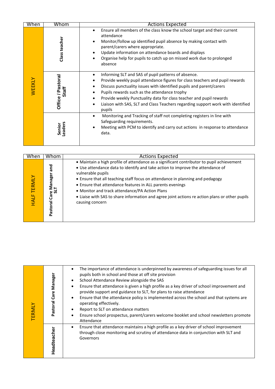| When   | Whom                         | <b>Actions Expected</b>                                                                                                                                                                                                                                                                                                                                                                                                                                                 |  |
|--------|------------------------------|-------------------------------------------------------------------------------------------------------------------------------------------------------------------------------------------------------------------------------------------------------------------------------------------------------------------------------------------------------------------------------------------------------------------------------------------------------------------------|--|
|        | Class teacher                | Ensure all members of the class know the school target and their current<br>$\bullet$<br>attendance<br>Monitor/follow up identified pupil absence by making contact with<br>parent/carers where appropriate.<br>Update information on attendance boards and displays<br>٠<br>Organise help for pupils to catch up on missed work due to prolonged<br>absence                                                                                                            |  |
| WEEKLY | /Pastoral<br>Staff<br>Office | Informing SLT and SAS of pupil patterns of absence.<br>$\bullet$<br>Provide weekly pupil attendance figures for class teachers and pupil rewards<br>٠<br>Discuss punctuality issues with identified pupils and parent/carers<br>٠<br>Pupils rewards such as the attendance trophy<br>Provide weekly Punctuality data for class teacher and pupil rewards<br>٠<br>Liaison with SAS, SLT and Class Teachers regarding support work with identified<br>$\bullet$<br>pupils |  |
|        | Senior<br>Leaders            | Monitoring and Tracking of staff not completing registers in line with<br>٠<br>Safeguarding requirements.<br>Meeting with PCM to identify and carry out actions in response to attendance<br>data.                                                                                                                                                                                                                                                                      |  |

| wnen                  | Whom                                   | <b>Actions Expected</b>                                                                                                                                                                                                                                                                                                                                                                                                                                                                                               |  |  |
|-----------------------|----------------------------------------|-----------------------------------------------------------------------------------------------------------------------------------------------------------------------------------------------------------------------------------------------------------------------------------------------------------------------------------------------------------------------------------------------------------------------------------------------------------------------------------------------------------------------|--|--|
| <b>TERMLY</b><br>HALF | and<br>Care Manager<br>SLT<br>Pastoral | • Maintain a high profile of attendance as a significant contributor to pupil achievement<br>• Use attendance data to identify and take action to improve the attendance of<br>vulnerable pupils<br>• Ensure that all teaching staff focus on attendance in planning and pedagogy<br>• Ensure that attendance features in ALL parents evenings<br>• Monitor and track attendance/PA Action Plans<br>• Liaise with SAS to share information and agree joint actions re action plans or other pupils<br>causing concern |  |  |

| <b>TERMLY</b> | Manager<br>Care<br>Pastoral | The importance of attendance is underpinned by awareness of safeguarding issues for all<br>$\bullet$<br>pupils both in school and those at off site provision<br>School Attendance Review alongside the SAS<br>٠<br>Ensure that attendance is given a high profile as a key driver of school improvement and<br>$\bullet$<br>provide support and guidance to SLT, for plans to raise attendance<br>Ensure that the attendance policy is implemented across the school and that systems are<br>$\bullet$<br>operating effectively.<br>Report to SLT on attendance matters<br>٠<br>Ensure school prospectus, parent/carers welcome booklet and school newsletters promote<br>$\bullet$ |
|---------------|-----------------------------|--------------------------------------------------------------------------------------------------------------------------------------------------------------------------------------------------------------------------------------------------------------------------------------------------------------------------------------------------------------------------------------------------------------------------------------------------------------------------------------------------------------------------------------------------------------------------------------------------------------------------------------------------------------------------------------|
|               | Headteacher                 | Attendance<br>Ensure that attendance maintains a high profile as a key driver of school improvement<br>$\bullet$<br>through close monitoring and scrutiny of attendance data in conjunction with SLT and<br>Governors                                                                                                                                                                                                                                                                                                                                                                                                                                                                |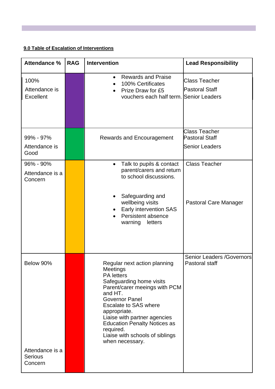# **9.0 Table of Escalation of Interventions**

**T** 

| <b>Attendance %</b>                                       | <b>RAG</b> | <b>Intervention</b>                                                                                                                                                                                                                                                                                                                                      | <b>Lead Responsibility</b>                                      |
|-----------------------------------------------------------|------------|----------------------------------------------------------------------------------------------------------------------------------------------------------------------------------------------------------------------------------------------------------------------------------------------------------------------------------------------------------|-----------------------------------------------------------------|
| 100%<br>Attendance is<br><b>Excellent</b>                 |            | <b>Rewards and Praise</b><br>100% Certificates<br>Prize Draw for £5<br>vouchers each half term. Senior Leaders                                                                                                                                                                                                                                           | <b>Class Teacher</b><br><b>Pastoral Staff</b>                   |
| 99% - 97%<br>Attendance is<br>Good                        |            | <b>Rewards and Encouragement</b>                                                                                                                                                                                                                                                                                                                         | Class Teacher<br><b>Pastoral Staff</b><br><b>Senior Leaders</b> |
| 96% - 90%<br>Attendance is a<br>Concern                   |            | Talk to pupils & contact<br>$\bullet$<br>parent/carers and return<br>to school discussions.<br>Safeguarding and<br>wellbeing visits<br>Early intervention SAS<br>Persistent absence<br>warning<br>letters                                                                                                                                                | <b>Class Teacher</b><br>Pastoral Care Manager                   |
| Below 90%<br>Attendance is a<br><b>Serious</b><br>Concern |            | Regular next action planning<br>Meetings<br><b>PA</b> letters<br>Safeguarding home visits<br>Parent/carer meeings with PCM<br>and HT.<br><b>Governor Panel</b><br><b>Escalate to SAS where</b><br>appropriate.<br>Liaise with partner agencies<br><b>Education Penalty Notices as</b><br>required.<br>Liaise with schools of siblings<br>when necessary. | <b>Senior Leaders /Governors</b><br>Pastoral staff              |